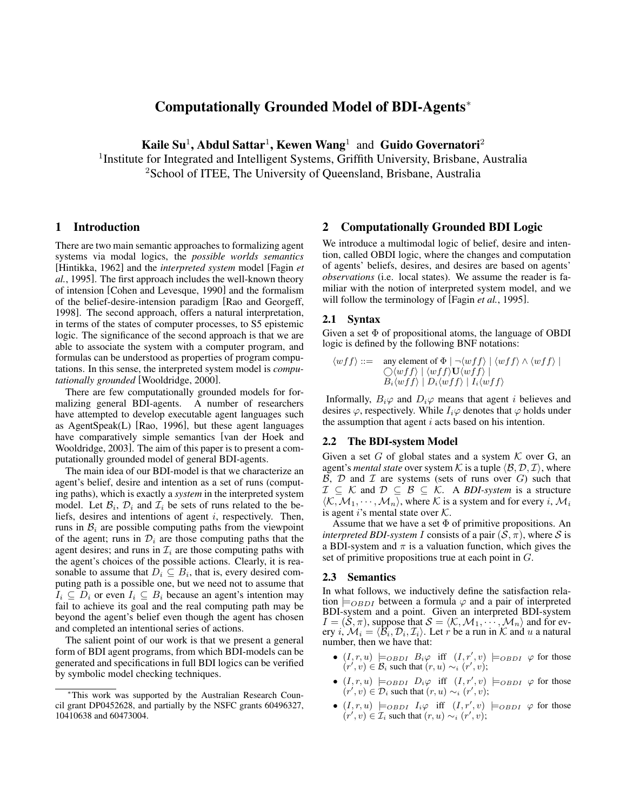# **Computationally Grounded Model of BDI-Agents**<sup>∗</sup>

**Kaile Su**<sup>1</sup> **, Abdul Sattar**<sup>1</sup> **, Kewen Wang**<sup>1</sup> and **Guido Governatori**<sup>2</sup>

<sup>1</sup>Institute for Integrated and Intelligent Systems, Griffith University, Brisbane, Australia <sup>2</sup>School of ITEE, The University of Queensland, Brisbane, Australia

## **1 Introduction**

There are two main semantic approaches to formalizing agent systems via modal logics, the *possible worlds semantics* [Hintikka, 1962] and the *interpreted system* model [Fagin *et al.*, 1995]. The first approach includes the well-known theory of intension [Cohen and Levesque, 1990] and the formalism of the belief-desire-intension paradigm [Rao and Georgeff, 1998]. The second approach, offers a natural interpretation, in terms of the states of computer processes, to S5 epistemic logic. The significance of the second approach is that we are able to associate the system with a computer program, and formulas can be understood as properties of program computations. In this sense, the interpreted system model is *computationally grounded* [Wooldridge, 2000].

There are few computationally grounded models for formalizing general BDI-agents. A number of researchers have attempted to develop executable agent languages such as AgentSpeak(L) [Rao, 1996], but these agent languages have comparatively simple semantics [van der Hoek and Wooldridge, 2003]. The aim of this paper is to present a computationally grounded model of general BDI-agents.

The main idea of our BDI-model is that we characterize an agent's belief, desire and intention as a set of runs (computing paths), which is exactly a *system* in the interpreted system model. Let  $\mathcal{B}_i$ ,  $\mathcal{D}_i$  and  $\mathcal{I}_i$  be sets of runs related to the beliefs, desires and intentions of agent i, respectively. Then, runs in  $B_i$  are possible computing paths from the viewpoint of the agent; runs in  $\mathcal{D}_i$  are those computing paths that the agent desires; and runs in  $\mathcal{I}_i$  are those computing paths with the agent's choices of the possible actions. Clearly, it is reasonable to assume that  $D_i \subseteq B_i$ , that is, every desired computing path is a possible one, but we need not to assume that  $I_i \subseteq D_i$  or even  $I_i \subseteq B_i$  because an agent's intention may fail to achieve its goal and the real computing path may be beyond the agent's belief even though the agent has chosen and completed an intentional series of actions.

The salient point of our work is that we present a general form of BDI agent programs, from which BDI-models can be generated and specifications in full BDI logics can be verified by symbolic model checking techniques.

#### **2 Computationally Grounded BDI Logic**

We introduce a multimodal logic of belief, desire and intention, called OBDI logic, where the changes and computation of agents' beliefs, desires, and desires are based on agents' *observations* (i.e. local states). We assume the reader is familiar with the notion of interpreted system model, and we will follow the terminology of [Fagin *et al.*, 1995].

# **2.1 Syntax**

Given a set  $\Phi$  of propositional atoms, the language of OBDI logic is defined by the following BNF notations:

$$
\langle wff \rangle ::= \text{ any element of } \Phi \mid \neg \langle wff \rangle \mid \langle wff \rangle \land \langle wff \rangle \mid
$$
  
 
$$
\bigcirc \langle wff \rangle \mid \langle wff \rangle \mathbf{U} \langle wff \rangle \mid
$$
  
 
$$
B_i \langle wff \rangle \mid D_i \langle wff \rangle \mid I_i \langle wff \rangle
$$

Informally,  $B_i\varphi$  and  $D_i\varphi$  means that agent *i* believes and desires  $\varphi$ , respectively. While  $I_i\varphi$  denotes that  $\varphi$  holds under the assumption that agent  $i$  acts based on his intention.

# **2.2 The BDI-system Model**

Given a set G of global states and a system  $K$  over G, an agent's *mental state* over system K is a tuple  $\langle \mathcal{B}, \mathcal{D}, \mathcal{I} \rangle$ , where  $\beta$ ,  $D$  and  $T$  are systems (sets of runs over  $G$ ) such that  $\mathcal{I} \subseteq \mathcal{K}$  and  $\mathcal{D} \subseteq \mathcal{B} \subseteq \mathcal{K}$ . A *BDI-system* is a structure  $\langle K, \overline{\mathcal{M}_1, \cdots, \mathcal{M}_n \rangle}$ , where K is a system and for every i,  $\mathcal{M}_i$ is agent i's mental state over  $K$ .

Assume that we have a set  $\Phi$  of primitive propositions. An *interpreted BDI-system I* consists of a pair  $(S, \pi)$ , where S is a BDI-system and  $\pi$  is a valuation function, which gives the set of primitive propositions true at each point in G.

#### **2.3 Semantics**

In what follows, we inductively define the satisfaction relation  $\models$ <sub>*OBDI*</sub> between a formula  $\varphi$  and a pair of interpreted BDI-system and a point. Given an interpreted BDI-system  $I = (\mathcal{S}, \pi)$ , suppose that  $\mathcal{S} = \langle \mathcal{K}, \mathcal{M}_1, \cdots, \mathcal{M}_n \rangle$  and for every i,  $\mathcal{M}_i = \langle \overline{\mathcal{B}}_i, \mathcal{D}_i, \mathcal{I}_i \rangle$ . Let r be a run in K and u a natural number, then we have that:

- $(I, r, u) \models_{OBDI} B_i \varphi$  iff  $(I, r', v) \models_{OBDI} \varphi$  for those  $(r', v) \in \mathcal{B}_i$  such that  $(r, u) \sim_i (r', v)$ ;
- $(I, r, u) \models$ OBDI  $D_i \varphi$  iff  $(I, r', v) \models$ OBDI  $\varphi$  for those  $(r', v) \in \mathcal{D}_i$  such that  $(r, u) \sim_i (r', v)$ ;
- $(I, r, u) \models_{OBDI} I_i \varphi$  iff  $(I, r', v) \models_{OBDI} \varphi$  for those  $(r', v) \in \mathcal{I}_i$  such that  $(r, u) \sim_i (r', v)$ ;

<sup>∗</sup>This work was supported by the Australian Research Council grant DP0452628, and partially by the NSFC grants 60496327, 10410638 and 60473004.